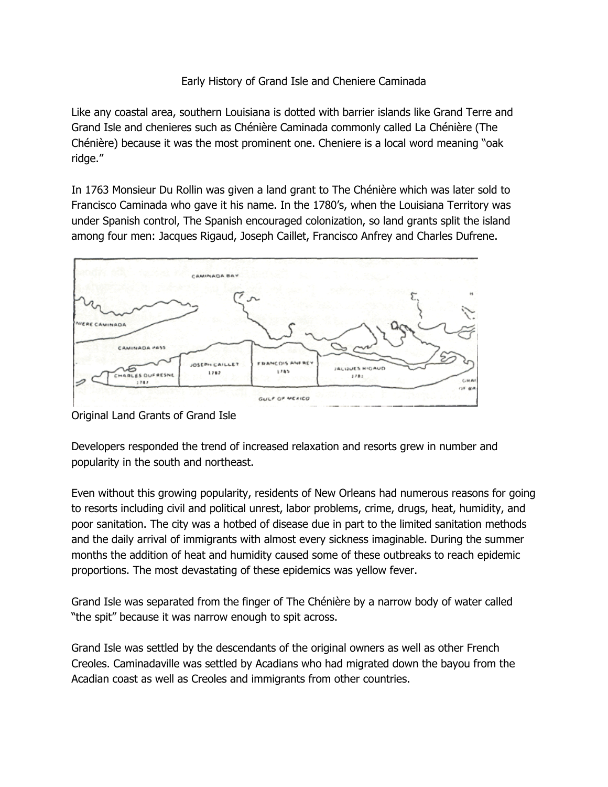## Early History of Grand Isle and Cheniere Caminada

Like any coastal area, southern Louisiana is dotted with barrier islands like Grand Terre and Grand Isle and chenieres such as Chénière Caminada commonly called La Chénière (The Chénière) because it was the most prominent one. Cheniere is a local word meaning "oak ridge."

In 1763 Monsieur Du Rollin was given a land grant to The Chénière which was later sold to Francisco Caminada who gave it his name. In the 1780's, when the Louisiana Territory was under Spanish control, The Spanish encouraged colonization, so land grants split the island among four men: Jacques Rigaud, Joseph Caillet, Francisco Anfrey and Charles Dufrene.



Original Land Grants of Grand Isle

Developers responded the trend of increased relaxation and resorts grew in number and popularity in the south and northeast.

Even without this growing popularity, residents of New Orleans had numerous reasons for going to resorts including civil and political unrest, labor problems, crime, drugs, heat, humidity, and poor sanitation. The city was a hotbed of disease due in part to the limited sanitation methods and the daily arrival of immigrants with almost every sickness imaginable. During the summer months the addition of heat and humidity caused some of these outbreaks to reach epidemic proportions. The most devastating of these epidemics was yellow fever.

Grand Isle was separated from the finger of The Chénière by a narrow body of water called "the spit" because it was narrow enough to spit across.

Grand Isle was settled by the descendants of the original owners as well as other French Creoles. Caminadaville was settled by Acadians who had migrated down the bayou from the Acadian coast as well as Creoles and immigrants from other countries.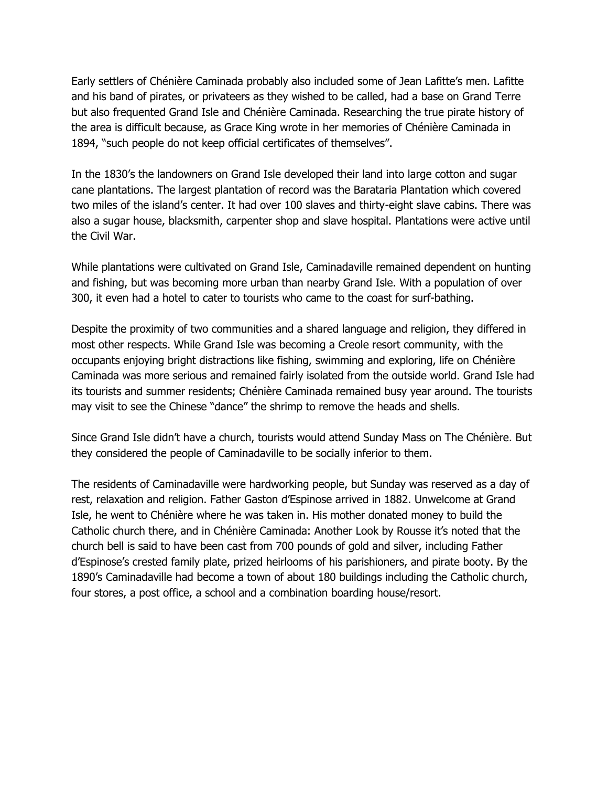Early settlers of Chénière Caminada probably also included some of Jean Lafitte's men. Lafitte and his band of pirates, or privateers as they wished to be called, had a base on Grand Terre but also frequented Grand Isle and Chénière Caminada. Researching the true pirate history of the area is difficult because, as Grace King wrote in her memories of Chénière Caminada in 1894, "such people do not keep official certificates of themselves".

In the 1830's the landowners on Grand Isle developed their land into large cotton and sugar cane plantations. The largest plantation of record was the Barataria Plantation which covered two miles of the island's center. It had over 100 slaves and thirty-eight slave cabins. There was also a sugar house, blacksmith, carpenter shop and slave hospital. Plantations were active until the Civil War.

While plantations were cultivated on Grand Isle, Caminadaville remained dependent on hunting and fishing, but was becoming more urban than nearby Grand Isle. With a population of over 300, it even had a hotel to cater to tourists who came to the coast for surf-bathing.

Despite the proximity of two communities and a shared language and religion, they differed in most other respects. While Grand Isle was becoming a Creole resort community, with the occupants enjoying bright distractions like fishing, swimming and exploring, life on Chénière Caminada was more serious and remained fairly isolated from the outside world. Grand Isle had its tourists and summer residents; Chénière Caminada remained busy year around. The tourists may visit to see the Chinese "dance" the shrimp to remove the heads and shells.

Since Grand Isle didn't have a church, tourists would attend Sunday Mass on The Chénière. But they considered the people of Caminadaville to be socially inferior to them.

The residents of Caminadaville were hardworking people, but Sunday was reserved as a day of rest, relaxation and religion. Father Gaston d'Espinose arrived in 1882. Unwelcome at Grand Isle, he went to Chénière where he was taken in. His mother donated money to build the Catholic church there, and in Chénière Caminada: Another Look by Rousse it's noted that the church bell is said to have been cast from 700 pounds of gold and silver, including Father d'Espinose's crested family plate, prized heirlooms of his parishioners, and pirate booty. By the 1890's Caminadaville had become a town of about 180 buildings including the Catholic church, four stores, a post office, a school and a combination boarding house/resort.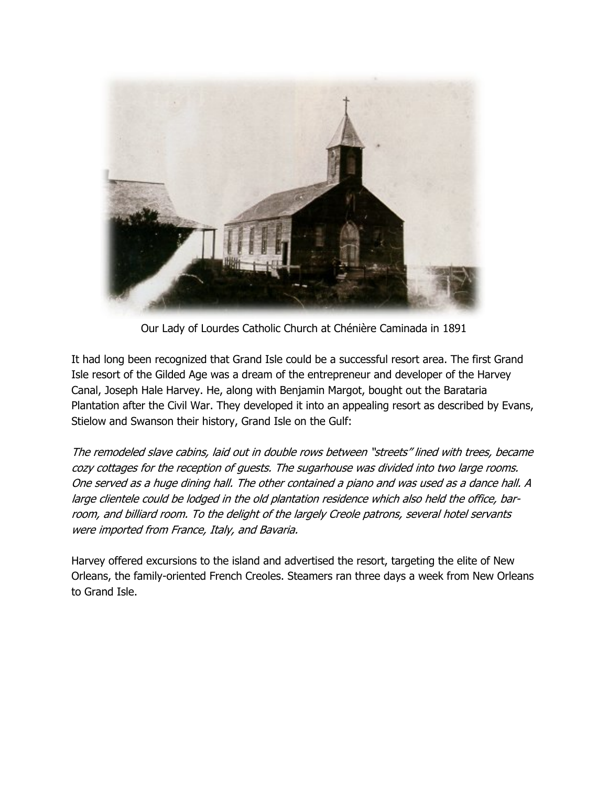

Our Lady of Lourdes Catholic Church at Chénière Caminada in 1891

It had long been recognized that Grand Isle could be a successful resort area. The first Grand Isle resort of the Gilded Age was a dream of the entrepreneur and developer of the Harvey Canal, Joseph Hale Harvey. He, along with Benjamin Margot, bought out the Barataria Plantation after the Civil War. They developed it into an appealing resort as described by Evans, Stielow and Swanson their history, Grand Isle on the Gulf:

The remodeled slave cabins, laid out in double rows between "streets" lined with trees, became cozy cottages for the reception of guests. The sugarhouse was divided into two large rooms. One served as a huge dining hall. The other contained a piano and was used as a dance hall. A large clientele could be lodged in the old plantation residence which also held the office, barroom, and billiard room. To the delight of the largely Creole patrons, several hotel servants were imported from France, Italy, and Bavaria.

Harvey offered excursions to the island and advertised the resort, targeting the elite of New Orleans, the family-oriented French Creoles. Steamers ran three days a week from New Orleans to Grand Isle.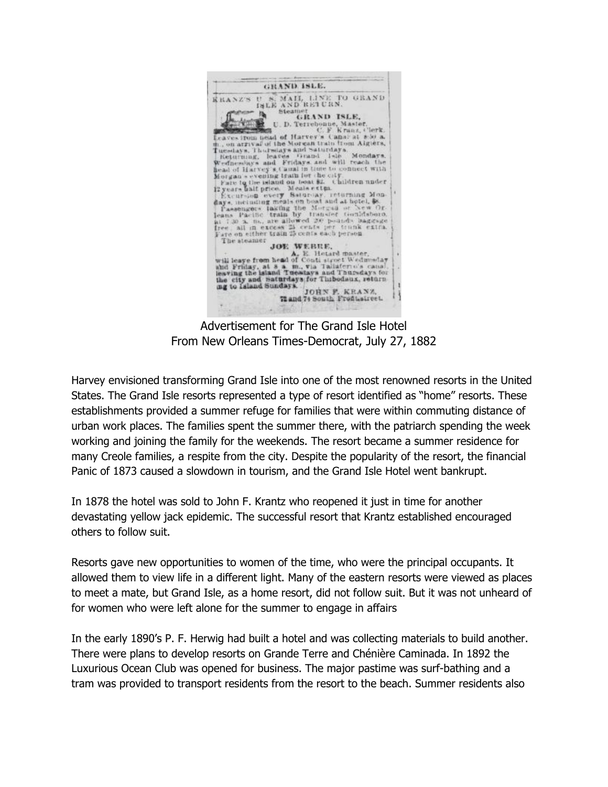

Advertisement for The Grand Isle Hotel From New Orleans Times-Democrat, July 27, 1882

Harvey envisioned transforming Grand Isle into one of the most renowned resorts in the United States. The Grand Isle resorts represented a type of resort identified as "home" resorts. These establishments provided a summer refuge for families that were within commuting distance of urban work places. The families spent the summer there, with the patriarch spending the week working and joining the family for the weekends. The resort became a summer residence for many Creole families, a respite from the city. Despite the popularity of the resort, the financial Panic of 1873 caused a slowdown in tourism, and the Grand Isle Hotel went bankrupt.

In 1878 the hotel was sold to John F. Krantz who reopened it just in time for another devastating yellow jack epidemic. The successful resort that Krantz established encouraged others to follow suit.

Resorts gave new opportunities to women of the time, who were the principal occupants. It allowed them to view life in a different light. Many of the eastern resorts were viewed as places to meet a mate, but Grand Isle, as a home resort, did not follow suit. But it was not unheard of for women who were left alone for the summer to engage in affairs

In the early 1890's P. F. Herwig had built a hotel and was collecting materials to build another. There were plans to develop resorts on Grande Terre and Chénière Caminada. In 1892 the Luxurious Ocean Club was opened for business. The major pastime was surf-bathing and a tram was provided to transport residents from the resort to the beach. Summer residents also